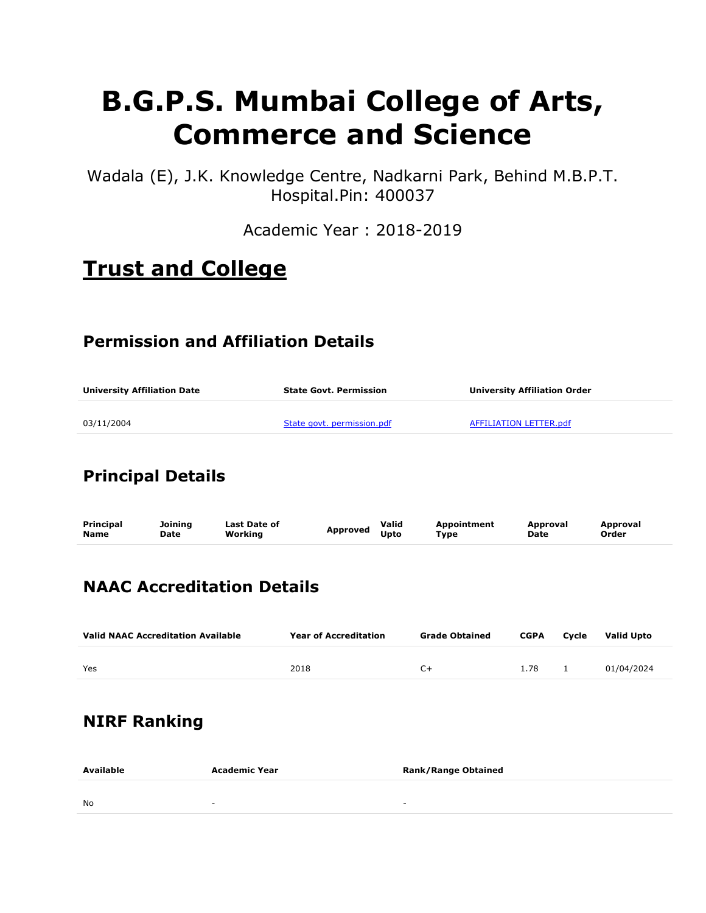# B.G.P.S. Mumbai College of Arts, Commerce and Science

Wadala (E), J.K. Knowledge Centre, Nadkarni Park, Behind M.B.P.T. Hospital.Pin: 400037

Academic Year : 2018-2019

# Trust and College

### Permission and Affiliation Details

| <b>University Affiliation Date</b> | <b>State Govt. Permission</b> | University Affiliation Order |  |  |
|------------------------------------|-------------------------------|------------------------------|--|--|
| 03/11/2004                         | State govt. permission.pdf    | AFFILIATION LETTER.pdf       |  |  |

### Principal Details

| Principal   | Joining     | <b>Last Date of</b> | Approved | Valid       | <b>Appointment</b> | Approval    | Approval |
|-------------|-------------|---------------------|----------|-------------|--------------------|-------------|----------|
| <b>Name</b> | <b>Date</b> | Working             |          | <b>Upto</b> | Type               | <b>Date</b> | Order    |
|             |             |                     |          |             |                    |             |          |

### NAAC Accreditation Details

| <b>Valid NAAC Accreditation Available</b> | <b>Year of Accreditation</b> | <b>Grade Obtained</b> | <b>CGPA</b> | Cvcle | Valid Upto |
|-------------------------------------------|------------------------------|-----------------------|-------------|-------|------------|
| Yes                                       | 2018                         | $^{\sim}$             | 1.78        |       | 01/04/2024 |
|                                           |                              |                       |             |       |            |

### NIRF Ranking

| Available | Academic Year | <b>Rank/Range Obtained</b> |
|-----------|---------------|----------------------------|
| <b>No</b> | . .           | $\sim$                     |
|           |               |                            |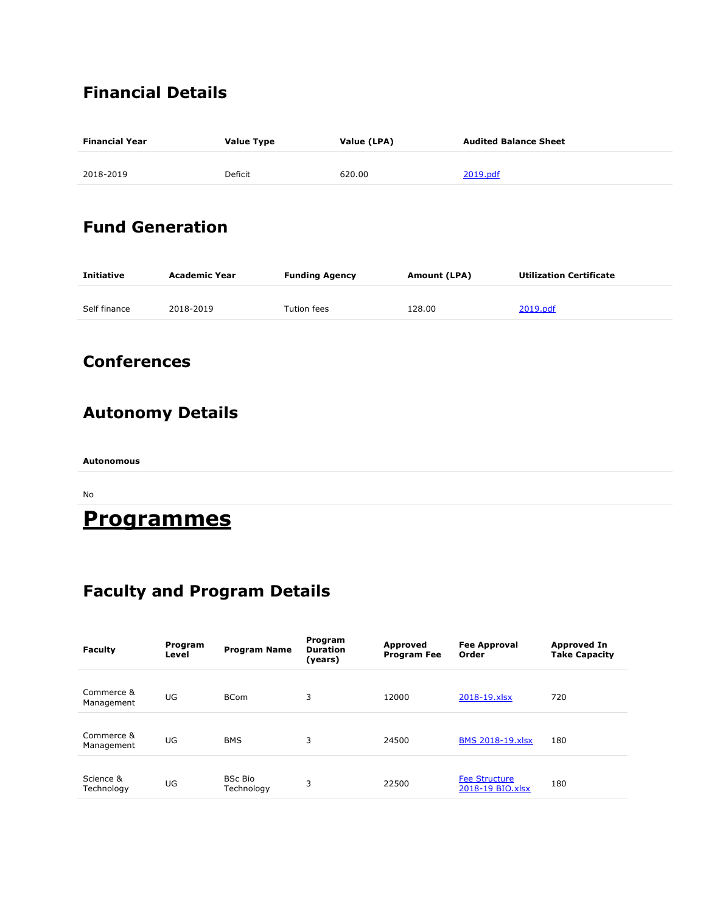### Financial Details

| <b>Financial Year</b> | <b>Value Type</b> | Value (LPA) | <b>Audited Balance Sheet</b> |  |  |
|-----------------------|-------------------|-------------|------------------------------|--|--|
| 2018-2019             | Deficit           | 620.00      | 2019.pdf                     |  |  |
|                       |                   |             |                              |  |  |

### Fund Generation

| <b>Initiative</b> | Academic Year | <b>Funding Agency</b> | Amount (LPA) | <b>Utilization Certificate</b> |  |
|-------------------|---------------|-----------------------|--------------|--------------------------------|--|
| Self finance      | 2018-2019     | Tution fees           | 128.00       | 2019.pdf                       |  |

### **Conferences**

# Autonomy Details

Autonomous

No

# **Programmes**

### Faculty and Program Details

| <b>Faculty</b>           | Program<br>Level | <b>Program Name</b>          | Program<br><b>Duration</b><br>(years) | <b>Approved</b><br><b>Program Fee</b> | <b>Fee Approval</b><br>Order             | <b>Approved In</b><br><b>Take Capacity</b> |
|--------------------------|------------------|------------------------------|---------------------------------------|---------------------------------------|------------------------------------------|--------------------------------------------|
| Commerce &<br>Management | UG               | <b>BCom</b>                  | 3                                     | 12000                                 | 2018-19.xlsx                             | 720                                        |
| Commerce &<br>Management | UG               | <b>BMS</b>                   | 3                                     | 24500                                 | <b>BMS 2018-19.xlsx</b>                  | 180                                        |
| Science &<br>Technology  | UG               | <b>BSc Bio</b><br>Technology | 3                                     | 22500                                 | <b>Fee Structure</b><br>2018-19 BIO.xlsx | 180                                        |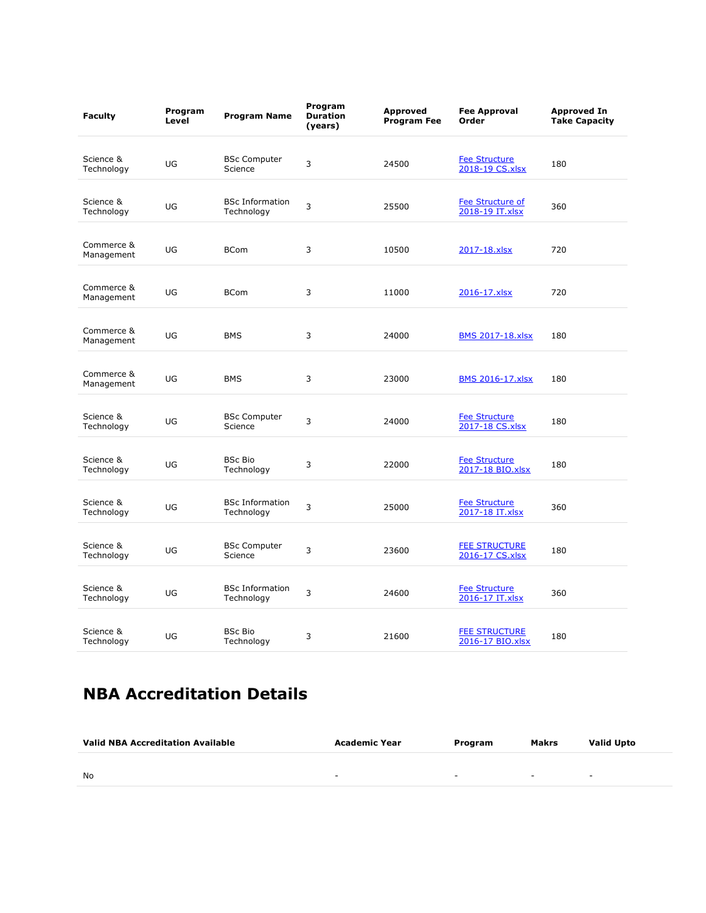| <b>Faculty</b>           | Program<br>Level | <b>Program Name</b>                  | Program<br><b>Duration</b><br>(years) | <b>Approved</b><br><b>Program Fee</b> | <b>Fee Approval</b><br>Order               | <b>Approved In</b><br><b>Take Capacity</b> |
|--------------------------|------------------|--------------------------------------|---------------------------------------|---------------------------------------|--------------------------------------------|--------------------------------------------|
| Science &<br>Technology  | UG               | <b>BSc Computer</b><br>Science       | 3                                     | 24500                                 | <b>Fee Structure</b><br>2018-19 CS.xlsx    | 180                                        |
| Science &<br>Technology  | UG               | <b>BSc Information</b><br>Technology | 3                                     | 25500                                 | <b>Fee Structure of</b><br>2018-19 IT.xlsx | 360                                        |
| Commerce &<br>Management | UG               | <b>BCom</b>                          | 3                                     | 10500                                 | 2017-18.xlsx                               | 720                                        |
| Commerce &<br>Management | UG               | <b>BCom</b>                          | 3                                     | 11000                                 | 2016-17.xlsx                               | 720                                        |
| Commerce &<br>Management | UG               | <b>BMS</b>                           | 3                                     | 24000                                 | <b>BMS 2017-18.xlsx</b>                    | 180                                        |
| Commerce &<br>Management | UG               | <b>BMS</b>                           | 3                                     | 23000                                 | <b>BMS 2016-17.xlsx</b>                    | 180                                        |
| Science &<br>Technology  | UG               | <b>BSc Computer</b><br>Science       | 3                                     | 24000                                 | <b>Fee Structure</b><br>2017-18 CS.xlsx    | 180                                        |
| Science &<br>Technology  | UG               | <b>BSc Bio</b><br>Technology         | 3                                     | 22000                                 | <b>Fee Structure</b><br>2017-18 BIO.xlsx   | 180                                        |
| Science &<br>Technology  | UG               | <b>BSc Information</b><br>Technology | 3                                     | 25000                                 | <b>Fee Structure</b><br>2017-18 IT.xlsx    | 360                                        |
| Science &<br>Technology  | UG               | <b>BSc Computer</b><br>Science       | 3                                     | 23600                                 | <b>FEE STRUCTURE</b><br>2016-17 CS.xlsx    | 180                                        |
| Science &<br>Technology  | UG               | <b>BSc Information</b><br>Technology | 3                                     | 24600                                 | <b>Fee Structure</b><br>2016-17 IT.xlsx    | 360                                        |
| Science &<br>Technology  | UG               | <b>BSc Bio</b><br>Technology         | 3                                     | 21600                                 | <b>FEE STRUCTURE</b><br>2016-17 BIO.xlsx   | 180                                        |

### NBA Accreditation Details

| <b>Valid NBA Accreditation Available</b> | Academic Year | Program | Makrs  | <b>Valid Upto</b> |
|------------------------------------------|---------------|---------|--------|-------------------|
|                                          |               |         |        |                   |
| No                                       |               | $\sim$  | $\sim$ | $\sim$            |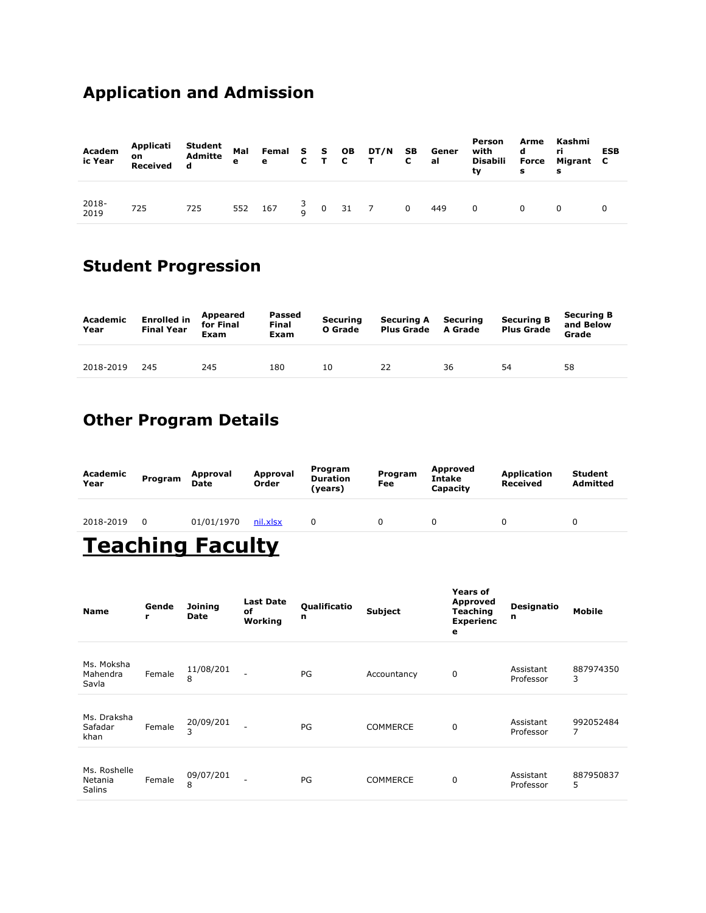### Application and Admission

| Academ<br>ic Year | on<br>Received |     |  |  |  |                                                             | Person<br>with<br>Disabili<br>tv | d<br>Force<br>s | Arme Kashmi<br>ri<br>Migrant C<br>s | <b>ESB</b> |
|-------------------|----------------|-----|--|--|--|-------------------------------------------------------------|----------------------------------|-----------------|-------------------------------------|------------|
| 2018-<br>2019     | 725            | 725 |  |  |  | 552 167 $\begin{matrix} 3 \\ 0 \end{matrix}$ 0 31 7 0 449 0 |                                  |                 |                                     |            |

# Student Progression

| Academic<br>Year | <b>Enrolled in</b><br><b>Final Year</b> | Appeared<br>for Final<br>Exam | Passed<br><b>Final</b><br>Exam | Securing<br>O Grade | <b>Securing A</b><br><b>Plus Grade</b> | Securing<br>A Grade | <b>Securing B</b><br><b>Plus Grade</b> | <b>Securing B</b><br>and Below<br>Grade |
|------------------|-----------------------------------------|-------------------------------|--------------------------------|---------------------|----------------------------------------|---------------------|----------------------------------------|-----------------------------------------|
| 2018-2019        | 245                                     | 245                           | 180                            | 10                  | 22                                     | 36                  | 54                                     | 58                                      |

### Other Program Details

| Academic<br>Year | Program | Approval<br><b>Date</b> | Approval<br>Order | Program<br><b>Duration</b><br>(years) | Program<br>Fee | Approved<br><b>Intake</b><br>Capacity | Application<br>Received | <b>Student</b><br><b>Admitted</b> |
|------------------|---------|-------------------------|-------------------|---------------------------------------|----------------|---------------------------------------|-------------------------|-----------------------------------|
| 2018-2019        |         | 01/01/1970              | nil.xlsx          |                                       |                |                                       |                         |                                   |
|                  |         |                         |                   |                                       |                |                                       |                         |                                   |

# **Teaching Faculty**

| <b>Name</b>                              | Gende<br>r | <b>Joining</b><br><b>Date</b> | <b>Last Date</b><br>of<br>Working | <b>Qualificatio</b><br>n | Subject         | <b>Years of</b><br><b>Approved</b><br><b>Teaching</b><br><b>Experienc</b><br>e | <b>Designatio</b><br>n | <b>Mobile</b>  |
|------------------------------------------|------------|-------------------------------|-----------------------------------|--------------------------|-----------------|--------------------------------------------------------------------------------|------------------------|----------------|
| Ms. Moksha<br>Mahendra<br>Savla          | Female     | 11/08/201<br>8                |                                   | PG                       | Accountancy     | 0                                                                              | Assistant<br>Professor | 887974350<br>3 |
| Ms. Draksha<br>Safadar<br>khan           | Female     | 20/09/201<br>3                |                                   | PG                       | <b>COMMERCE</b> | 0                                                                              | Assistant<br>Professor | 992052484<br>7 |
| Ms. Roshelle<br>Netania<br><b>Salins</b> | Female     | 09/07/201<br>8                |                                   | PG                       | <b>COMMERCE</b> | $\mathbf 0$                                                                    | Assistant<br>Professor | 887950837<br>5 |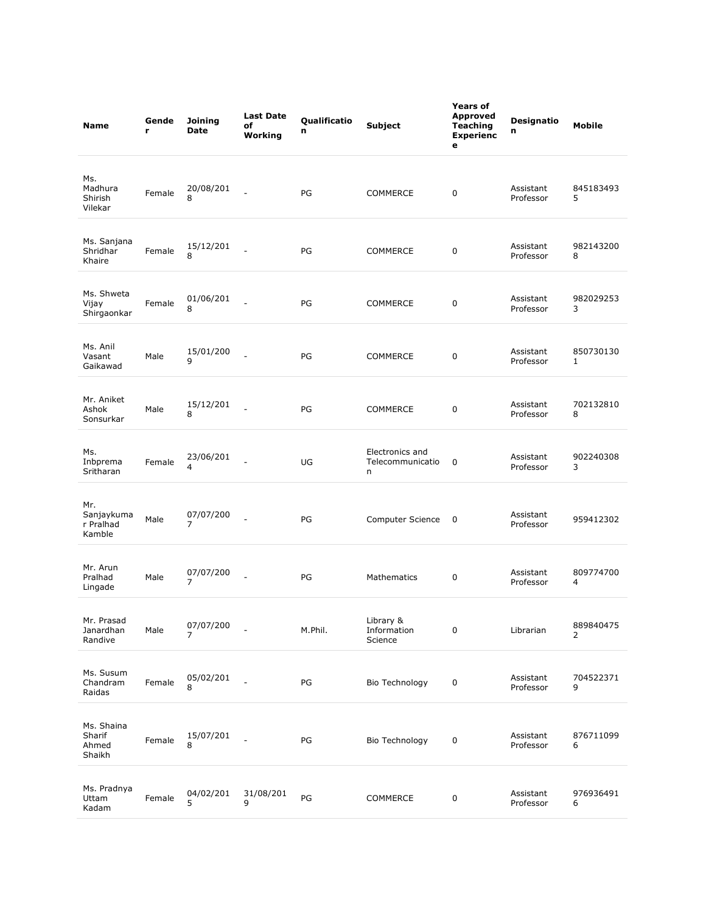| <b>Name</b>                              | Gende<br>r | Joining<br><b>Date</b>      | <b>Last Date</b><br>of<br>Working | Qualificatio<br>n | Subject                                  | <b>Years of</b><br><b>Approved</b><br>Teaching<br><b>Experienc</b><br>е | <b>Designatio</b><br>n | <b>Mobile</b>  |
|------------------------------------------|------------|-----------------------------|-----------------------------------|-------------------|------------------------------------------|-------------------------------------------------------------------------|------------------------|----------------|
| Ms.<br>Madhura<br>Shirish<br>Vilekar     | Female     | 20/08/201<br>8              |                                   | PG                | <b>COMMERCE</b>                          | 0                                                                       | Assistant<br>Professor | 845183493<br>5 |
| Ms. Sanjana<br>Shridhar<br>Khaire        | Female     | 15/12/201<br>8              |                                   | PG                | COMMERCE                                 | 0                                                                       | Assistant<br>Professor | 982143200<br>8 |
| Ms. Shweta<br>Vijay<br>Shirgaonkar       | Female     | 01/06/201<br>8              |                                   | PG                | COMMERCE                                 | 0                                                                       | Assistant<br>Professor | 982029253<br>3 |
| Ms. Anil<br>Vasant<br>Gaikawad           | Male       | 15/01/200<br>9              |                                   | PG                | <b>COMMERCE</b>                          | 0                                                                       | Assistant<br>Professor | 850730130<br>1 |
| Mr. Aniket<br>Ashok<br>Sonsurkar         | Male       | 15/12/201<br>8              |                                   | PG                | <b>COMMERCE</b>                          | 0                                                                       | Assistant<br>Professor | 702132810<br>8 |
| Ms.<br>Inbprema<br>Sritharan             | Female     | 23/06/201<br>4              |                                   | UG                | Electronics and<br>Telecommunicatio<br>n | 0                                                                       | Assistant<br>Professor | 902240308<br>3 |
| Mr.<br>Sanjaykuma<br>r Pralhad<br>Kamble | Male       | 07/07/200<br>7              |                                   | PG                | Computer Science                         | 0                                                                       | Assistant<br>Professor | 959412302      |
| Mr. Arun<br>Pralhad<br>Lingade           | Male       | 07/07/200<br>7              |                                   | PG                | Mathematics                              | 0                                                                       | Assistant<br>Professor | 809774700<br>4 |
| Mr. Prasad<br>Janardhan<br>Randive       | Male       | 07/07/200<br>$\overline{7}$ |                                   | M.Phil.           | Library &<br>Information<br>Science      | 0                                                                       | Librarian              | 889840475<br>2 |
| Ms. Susum<br>Chandram<br>Raidas          | Female     | 05/02/201<br>8              |                                   | PG                | Bio Technology                           | 0                                                                       | Assistant<br>Professor | 704522371<br>9 |
| Ms. Shaina<br>Sharif<br>Ahmed<br>Shaikh  | Female     | 15/07/201<br>8              |                                   | PG                | Bio Technology                           | 0                                                                       | Assistant<br>Professor | 876711099<br>6 |
| Ms. Pradnya<br>Uttam<br>Kadam            | Female     | 04/02/201<br>5              | 31/08/201<br>9                    | $\mathsf{PG}$     | COMMERCE                                 | 0                                                                       | Assistant<br>Professor | 976936491<br>6 |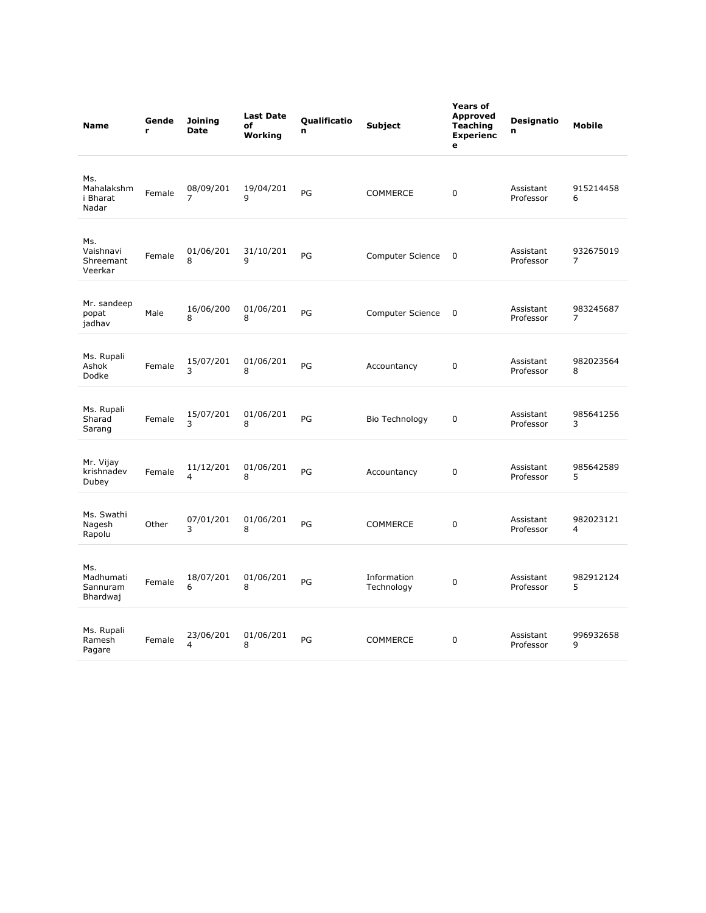| <b>Name</b>                              | Gende<br>r | <b>Joining</b><br><b>Date</b> | <b>Last Date</b><br>of<br>Working | <b>Qualificatio</b><br>n | Subject                   | <b>Years of</b><br><b>Approved</b><br><b>Teaching</b><br><b>Experienc</b><br>e | <b>Designatio</b><br>n | Mobile                      |
|------------------------------------------|------------|-------------------------------|-----------------------------------|--------------------------|---------------------------|--------------------------------------------------------------------------------|------------------------|-----------------------------|
| Ms.<br>Mahalakshm<br>i Bharat<br>Nadar   | Female     | 08/09/201<br>7                | 19/04/201<br>9                    | PG                       | <b>COMMERCE</b>           | 0                                                                              | Assistant<br>Professor | 915214458<br>6              |
| Ms.<br>Vaishnavi<br>Shreemant<br>Veerkar | Female     | 01/06/201<br>8                | 31/10/201<br>9                    | PG                       | Computer Science          | 0                                                                              | Assistant<br>Professor | 932675019<br>7              |
| Mr. sandeep<br>popat<br>jadhav           | Male       | 16/06/200<br>8                | 01/06/201<br>8                    | PG                       | Computer Science          | 0                                                                              | Assistant<br>Professor | 983245687<br>7              |
| Ms. Rupali<br>Ashok<br>Dodke             | Female     | 15/07/201<br>3                | 01/06/201<br>8                    | PG                       | Accountancy               | 0                                                                              | Assistant<br>Professor | 982023564<br>8              |
| Ms. Rupali<br>Sharad<br>Sarang           | Female     | 15/07/201<br>3                | 01/06/201<br>8                    | PG                       | Bio Technology            | 0                                                                              | Assistant<br>Professor | 985641256<br>3              |
| Mr. Vijay<br>krishnadev<br>Dubey         | Female     | 11/12/201<br>4                | 01/06/201<br>8                    | PG                       | Accountancy               | 0                                                                              | Assistant<br>Professor | 985642589<br>5              |
| Ms. Swathi<br>Nagesh<br>Rapolu           | Other      | 07/01/201<br>3                | 01/06/201<br>8                    | PG                       | <b>COMMERCE</b>           | $\mathbf 0$                                                                    | Assistant<br>Professor | 982023121<br>$\overline{4}$ |
| Ms.<br>Madhumati<br>Sannuram<br>Bhardwaj | Female     | 18/07/201<br>6                | 01/06/201<br>8                    | PG                       | Information<br>Technology | 0                                                                              | Assistant<br>Professor | 982912124<br>5              |
| Ms. Rupali<br>Ramesh<br>Pagare           | Female     | 23/06/201<br>4                | 01/06/201<br>8                    | PG                       | <b>COMMERCE</b>           | $\mathbf 0$                                                                    | Assistant<br>Professor | 996932658<br>9              |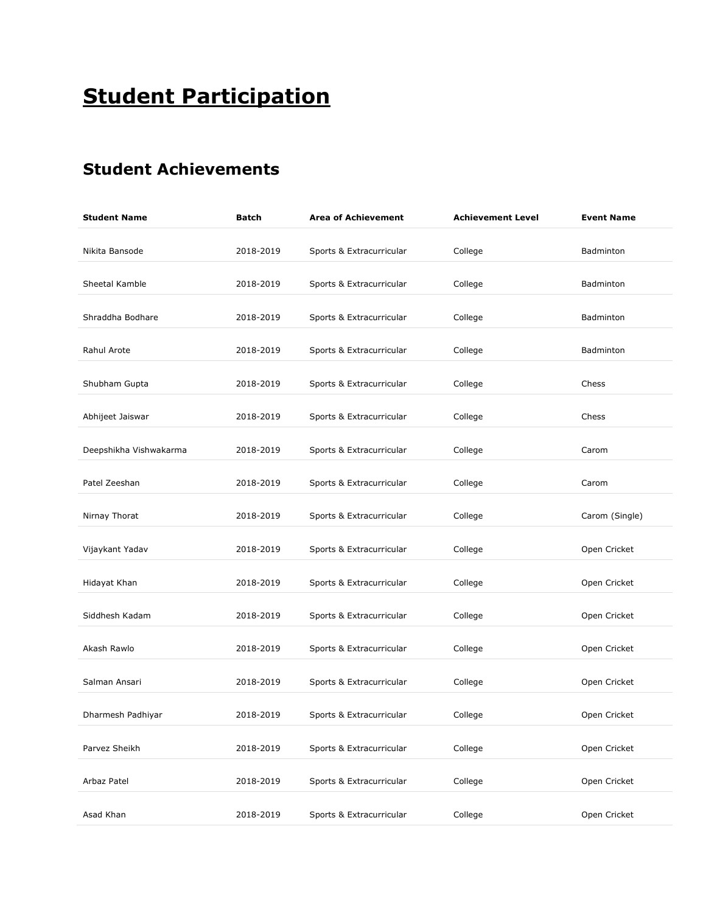# **Student Participation**

### Student Achievements

| <b>Student Name</b>    | <b>Batch</b> | <b>Area of Achievement</b> | <b>Achievement Level</b> | <b>Event Name</b> |
|------------------------|--------------|----------------------------|--------------------------|-------------------|
| Nikita Bansode         | 2018-2019    | Sports & Extracurricular   | College                  | Badminton         |
| Sheetal Kamble         | 2018-2019    | Sports & Extracurricular   | College                  | Badminton         |
| Shraddha Bodhare       | 2018-2019    | Sports & Extracurricular   | College                  | Badminton         |
| Rahul Arote            | 2018-2019    | Sports & Extracurricular   | College                  | Badminton         |
| Shubham Gupta          | 2018-2019    | Sports & Extracurricular   | College                  | Chess             |
| Abhijeet Jaiswar       | 2018-2019    | Sports & Extracurricular   | College                  | Chess             |
| Deepshikha Vishwakarma | 2018-2019    | Sports & Extracurricular   | College                  | Carom             |
| Patel Zeeshan          | 2018-2019    | Sports & Extracurricular   | College                  | Carom             |
| Nirnay Thorat          | 2018-2019    | Sports & Extracurricular   | College                  | Carom (Single)    |
| Vijaykant Yadav        | 2018-2019    | Sports & Extracurricular   | College                  | Open Cricket      |
| Hidayat Khan           | 2018-2019    | Sports & Extracurricular   | College                  | Open Cricket      |
| Siddhesh Kadam         | 2018-2019    | Sports & Extracurricular   | College                  | Open Cricket      |
| Akash Rawlo            | 2018-2019    | Sports & Extracurricular   | College                  | Open Cricket      |
| Salman Ansari          | 2018-2019    | Sports & Extracurricular   | College                  | Open Cricket      |
| Dharmesh Padhiyar      | 2018-2019    | Sports & Extracurricular   | College                  | Open Cricket      |
| Parvez Sheikh          | 2018-2019    | Sports & Extracurricular   | College                  | Open Cricket      |
| Arbaz Patel            | 2018-2019    | Sports & Extracurricular   | College                  | Open Cricket      |
| Asad Khan              | 2018-2019    | Sports & Extracurricular   | College                  | Open Cricket      |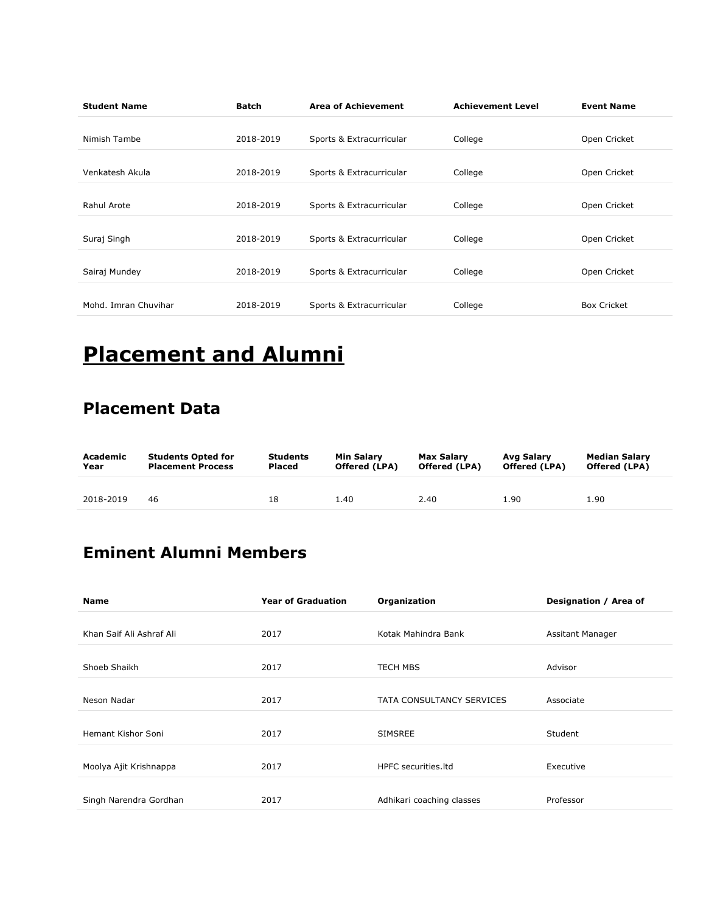| <b>Student Name</b>  | <b>Batch</b> | <b>Area of Achievement</b> | <b>Achievement Level</b> | <b>Event Name</b>  |
|----------------------|--------------|----------------------------|--------------------------|--------------------|
| Nimish Tambe         | 2018-2019    | Sports & Extracurricular   | College                  | Open Cricket       |
| Venkatesh Akula      | 2018-2019    | Sports & Extracurricular   | College                  | Open Cricket       |
| Rahul Arote          | 2018-2019    | Sports & Extracurricular   | College                  | Open Cricket       |
| Suraj Singh          | 2018-2019    | Sports & Extracurricular   | College                  | Open Cricket       |
| Sairaj Mundey        | 2018-2019    | Sports & Extracurricular   | College                  | Open Cricket       |
| Mohd. Imran Chuvihar | 2018-2019    | Sports & Extracurricular   | College                  | <b>Box Cricket</b> |

# Placement and Alumni

#### Placement Data

| Academic  | <b>Students Opted for</b> | <b>Students</b> | Min Salarv    | Max Salary    | Avg Salary    | <b>Median Salarv</b> |
|-----------|---------------------------|-----------------|---------------|---------------|---------------|----------------------|
| Year      | <b>Placement Process</b>  | Placed          | Offered (LPA) | Offered (LPA) | Offered (LPA) | <b>Offered (LPA)</b> |
| 2018-2019 | 46                        | 18              | 1.40          | 2.40          | 1.90          | 1.90                 |

### Eminent Alumni Members

| <b>Name</b>              | <b>Year of Graduation</b> | Organization              | Designation / Area of |
|--------------------------|---------------------------|---------------------------|-----------------------|
|                          |                           |                           |                       |
| Khan Saif Ali Ashraf Ali | 2017                      | Kotak Mahindra Bank       | Assitant Manager      |
| Shoeb Shaikh             | 2017                      | <b>TECH MBS</b>           | Advisor               |
| Neson Nadar              | 2017                      | TATA CONSULTANCY SERVICES | Associate             |
| Hemant Kishor Soni       | 2017                      | <b>SIMSREE</b>            | Student               |
| Moolya Ajit Krishnappa   | 2017                      | HPFC securities. Itd      | Executive             |
| Singh Narendra Gordhan   | 2017                      | Adhikari coaching classes | Professor             |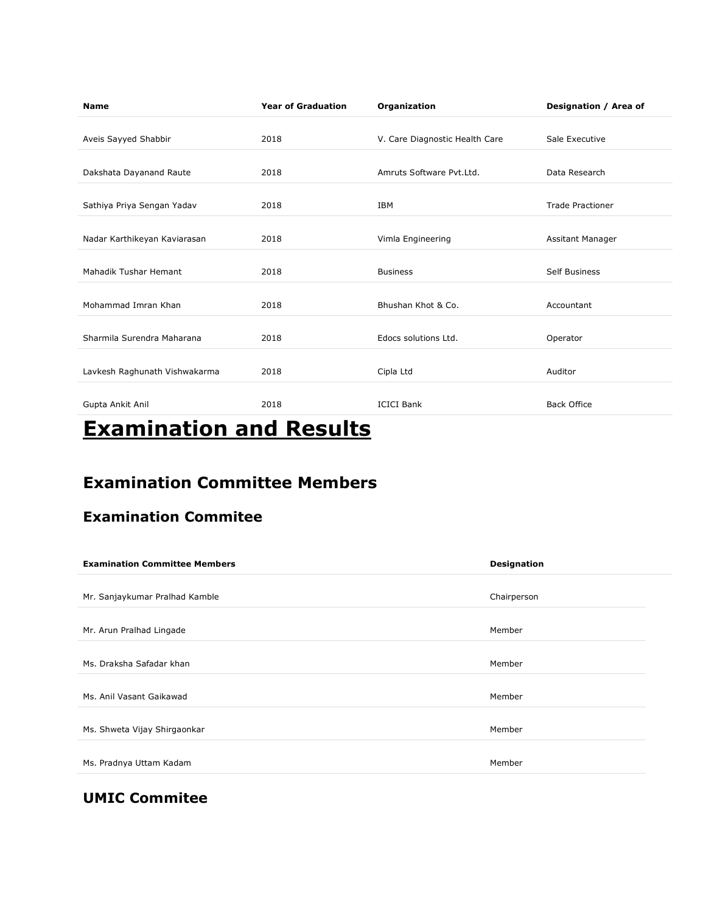| <b>Name</b>                   | <b>Year of Graduation</b> | Organization                   | Designation / Area of   |
|-------------------------------|---------------------------|--------------------------------|-------------------------|
| Aveis Sayyed Shabbir          | 2018                      | V. Care Diagnostic Health Care | Sale Executive          |
| Dakshata Dayanand Raute       | 2018                      | Amruts Software Pvt.Ltd.       | Data Research           |
| Sathiya Priya Sengan Yadav    | 2018                      | <b>IBM</b>                     | <b>Trade Practioner</b> |
| Nadar Karthikeyan Kaviarasan  | 2018                      | Vimla Engineering              | Assitant Manager        |
| Mahadik Tushar Hemant         | 2018                      | <b>Business</b>                | <b>Self Business</b>    |
| Mohammad Imran Khan           | 2018                      | Bhushan Khot & Co.             | Accountant              |
| Sharmila Surendra Maharana    | 2018                      | Edocs solutions Ltd.           | Operator                |
| Lavkesh Raghunath Vishwakarma | 2018                      | Cipla Ltd                      | Auditor                 |
| Gupta Ankit Anil              | 2018                      | <b>ICICI Bank</b>              | <b>Back Office</b>      |
|                               |                           |                                |                         |

# Examination and Results

#### Examination Committee Members

#### Examination Commitee

| <b>Examination Committee Members</b> | <b>Designation</b> |
|--------------------------------------|--------------------|
| Mr. Sanjaykumar Pralhad Kamble       | Chairperson        |
| Mr. Arun Pralhad Lingade             | Member             |
| Ms. Draksha Safadar khan             | Member             |
| Ms. Anil Vasant Gaikawad             | Member             |
| Ms. Shweta Vijay Shirgaonkar         | Member             |
| Ms. Pradnya Uttam Kadam              | Member             |

#### UMIC Commitee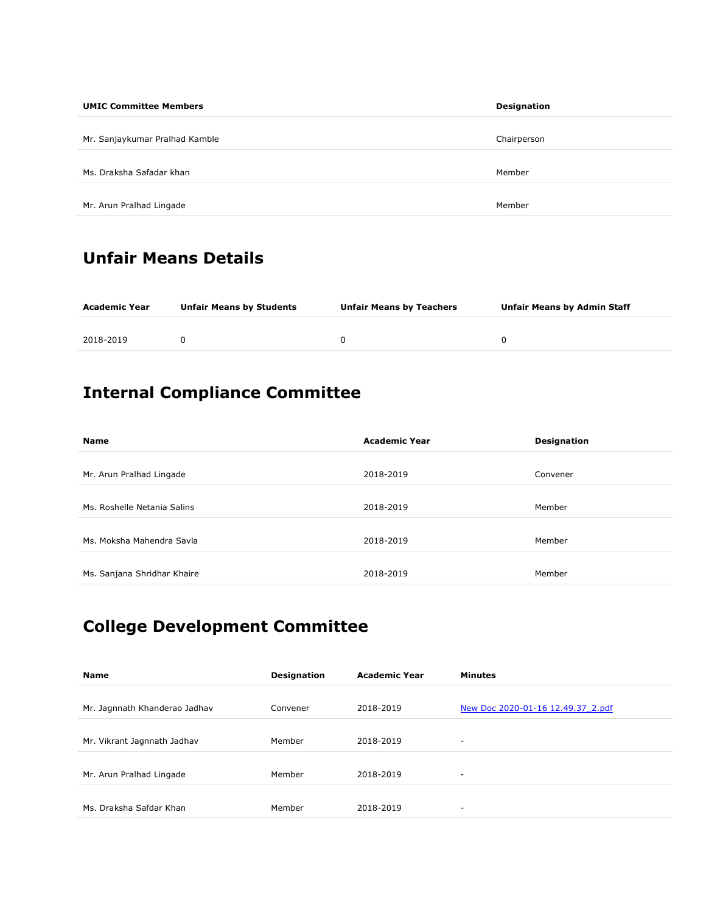| <b>UMIC Committee Members</b>  | Designation |
|--------------------------------|-------------|
| Mr. Sanjaykumar Pralhad Kamble | Chairperson |
| Ms. Draksha Safadar khan       | Member      |
| Mr. Arun Pralhad Lingade       | Member      |

### Unfair Means Details

| Academic Year | <b>Unfair Means by Students</b> | <b>Unfair Means by Teachers</b> | <b>Unfair Means by Admin Staff</b> |
|---------------|---------------------------------|---------------------------------|------------------------------------|
| 2018-2019     |                                 |                                 |                                    |

### Internal Compliance Committee

| <b>Name</b>                 | <b>Academic Year</b> | <b>Designation</b> |
|-----------------------------|----------------------|--------------------|
| Mr. Arun Pralhad Lingade    | 2018-2019            | Convener           |
| Ms. Roshelle Netania Salins | 2018-2019            | Member             |
| Ms. Moksha Mahendra Savla   | 2018-2019            | Member             |
| Ms. Sanjana Shridhar Khaire | 2018-2019            | Member             |

### College Development Committee

| <b>Name</b>                   | <b>Designation</b> | <b>Academic Year</b> | <b>Minutes</b>                    |
|-------------------------------|--------------------|----------------------|-----------------------------------|
| Mr. Jagnnath Khanderao Jadhav | Convener           | 2018-2019            | New Doc 2020-01-16 12.49.37 2.pdf |
| Mr. Vikrant Jagnnath Jadhav   | Member             | 2018-2019            |                                   |
| Mr. Arun Pralhad Lingade      | Member             | 2018-2019            |                                   |
| Ms. Draksha Safdar Khan       | Member             | 2018-2019            | ۰                                 |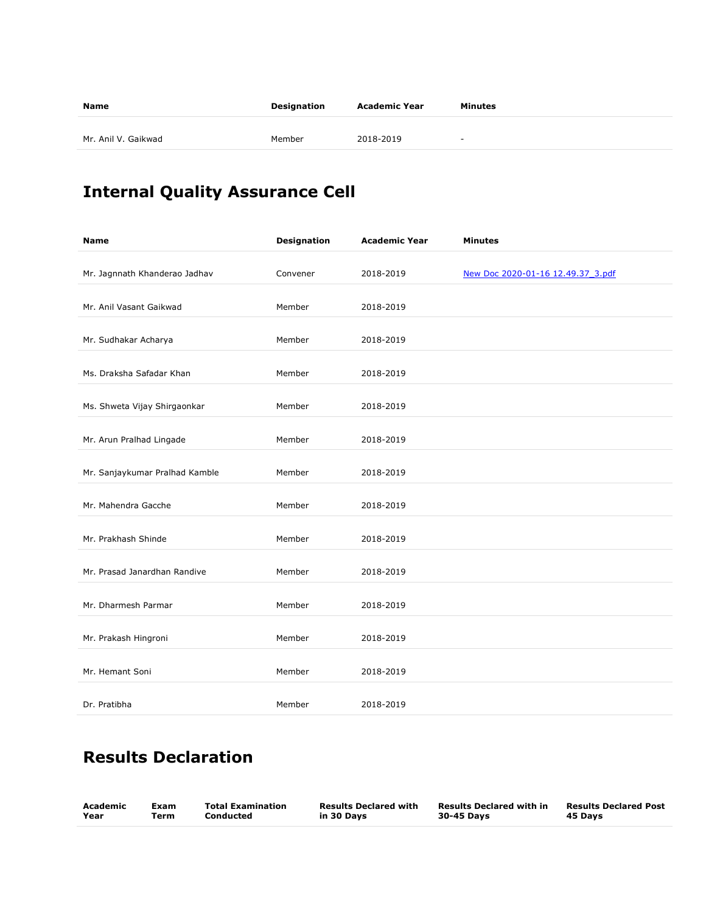| 2018-2019<br>Mr. Anil V. Gaikwad<br>Member<br>$\sim$ | Name | Designation | <b>Academic Year</b> | Minutes |
|------------------------------------------------------|------|-------------|----------------------|---------|
|                                                      |      |             |                      |         |

# Internal Quality Assurance Cell

| <b>Name</b>                    | <b>Designation</b> | <b>Academic Year</b> | <b>Minutes</b>                    |
|--------------------------------|--------------------|----------------------|-----------------------------------|
| Mr. Jagnnath Khanderao Jadhav  | Convener           | 2018-2019            | New Doc 2020-01-16 12.49.37_3.pdf |
| Mr. Anil Vasant Gaikwad        | Member             | 2018-2019            |                                   |
| Mr. Sudhakar Acharya           | Member             | 2018-2019            |                                   |
| Ms. Draksha Safadar Khan       | Member             | 2018-2019            |                                   |
| Ms. Shweta Vijay Shirgaonkar   | Member             | 2018-2019            |                                   |
| Mr. Arun Pralhad Lingade       | Member             | 2018-2019            |                                   |
| Mr. Sanjaykumar Pralhad Kamble | Member             | 2018-2019            |                                   |
| Mr. Mahendra Gacche            | Member             | 2018-2019            |                                   |
| Mr. Prakhash Shinde            | Member             | 2018-2019            |                                   |
| Mr. Prasad Janardhan Randive   | Member             | 2018-2019            |                                   |
| Mr. Dharmesh Parmar            | Member             | 2018-2019            |                                   |
| Mr. Prakash Hingroni           | Member             | 2018-2019            |                                   |
| Mr. Hemant Soni                | Member             | 2018-2019            |                                   |
| Dr. Pratibha                   | Member             | 2018-2019            |                                   |

### Results Declaration

| Academic | Exam | <b>Total Examination</b> | <b>Results Declared with</b> | <b>Results Declared with in</b> | <b>Results Declared Post</b> |
|----------|------|--------------------------|------------------------------|---------------------------------|------------------------------|
| Year     | Term | Conducted                | in 30 Days                   | 30-45 Days                      | 45 Days                      |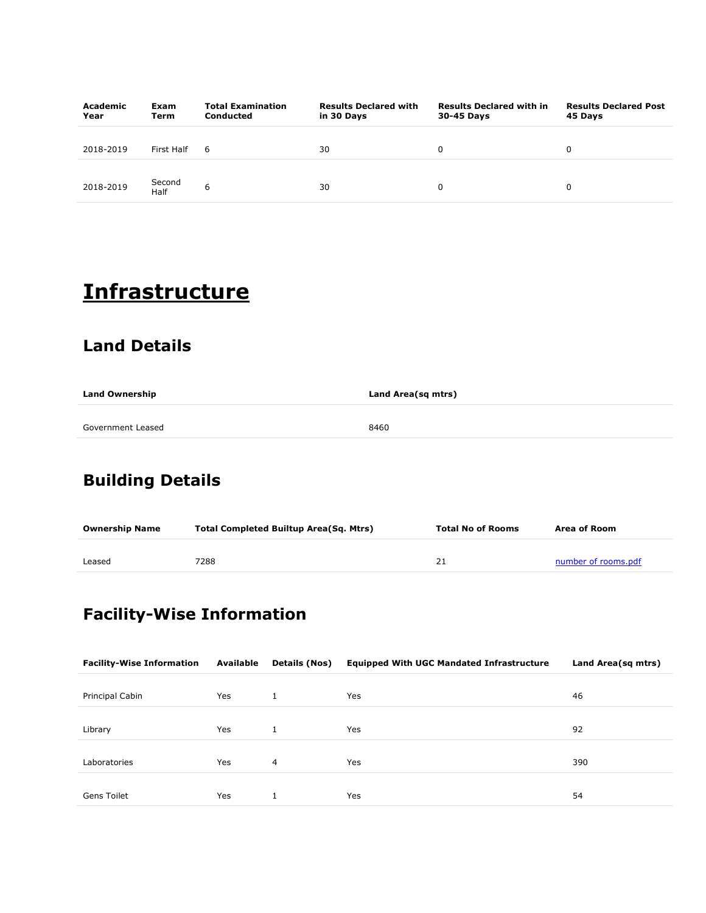| Academic<br>Year | Exam<br>Term   | <b>Total Examination</b><br><b>Conducted</b> | <b>Results Declared with</b><br>in 30 Days | <b>Results Declared with in</b><br>30-45 Days | <b>Results Declared Post</b><br>45 Days |
|------------------|----------------|----------------------------------------------|--------------------------------------------|-----------------------------------------------|-----------------------------------------|
| 2018-2019        | First Half     | -6                                           | 30                                         | 0                                             | 0                                       |
| 2018-2019        | Second<br>Half | 6                                            | 30                                         | 0                                             | 0                                       |

# **Infrastructure**

#### Land Details

| <b>Land Ownership</b> | Land Area(sq mtrs) |
|-----------------------|--------------------|
|                       |                    |
| Government Leased     | 8460               |

### Building Details

| <b>Ownership Name</b> | <b>Total Completed Builtup Area(Sq. Mtrs)</b> | <b>Total No of Rooms</b> | Area of Room        |
|-----------------------|-----------------------------------------------|--------------------------|---------------------|
| Leased                | 7288                                          |                          | number of rooms.pdf |

### Facility-Wise Information

| <b>Facility-Wise Information</b> | Available | Details (Nos) | <b>Equipped With UGC Mandated Infrastructure</b> | Land Area(sq mtrs) |
|----------------------------------|-----------|---------------|--------------------------------------------------|--------------------|
|                                  |           |               |                                                  |                    |
| Principal Cabin                  | Yes       |               | Yes                                              | 46                 |
|                                  |           |               |                                                  |                    |
| Library                          | Yes       |               | Yes                                              | 92                 |
|                                  |           |               |                                                  |                    |
| Laboratories                     | Yes       | 4             | <b>Yes</b>                                       | 390                |
|                                  |           |               |                                                  |                    |
| <b>Gens Toilet</b>               | Yes       |               | Yes                                              | 54                 |